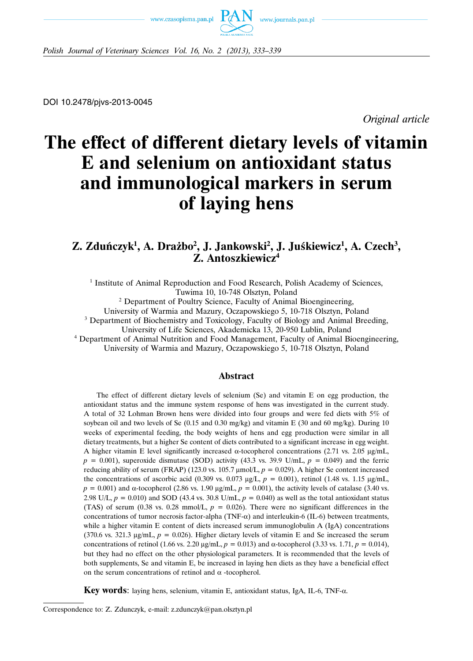



*Polish Journal of Veterinary Sciences Vol. 16, No. 2 (2013), 333–339*

DOI 10.2478/pjvs-2013-0045

*Original article*

# **The effect of different dietary levels of vitamin E and selenium on antioxidant status and immunological markers in serum of laying hens**

# **Z. Zduńczyk1 , A. Drażbo2 , J. Jankowski2 , J. Juśkiewicz1 , A. Czech3 , Z. Antoszkiewicz4**

<sup>1</sup> Institute of Animal Reproduction and Food Research, Polish Academy of Sciences, Tuwima 10, 10-748 Olsztyn, Poland

<sup>2</sup> Department of Poultry Science, Faculty of Animal Bioengineering,

University of Warmia and Mazury, Oczapowskiego 5, 10-718 Olsztyn, Poland

<sup>3</sup> Department of Biochemistry and Toxicology, Faculty of Biology and Animal Breeding,

University of Life Sciences, Akademicka 13, 20-950 Lublin, Poland

<sup>4</sup> Department of Animal Nutrition and Food Management, Faculty of Animal Bioengineering, University of Warmia and Mazury, Oczapowskiego 5, 10-718 Olsztyn, Poland

## **Abstract**

The effect of different dietary levels of selenium (Se) and vitamin E on egg production, the antioxidant status and the immune system response of hens was investigated in the current study. A total of 32 Lohman Brown hens were divided into four groups and were fed diets with 5% of soybean oil and two levels of Se  $(0.15 \text{ and } 0.30 \text{ mg/kg})$  and vitamin E  $(30 \text{ and } 60 \text{ mg/kg})$ . During 10 weeks of experimental feeding, the body weights of hens and egg production were similar in all dietary treatments, but a higher Se content of diets contributed to a significant increase in egg weight. A higher vitamin E level significantly increased α-tocopherol concentrations (2.71 vs. 2.05 μg/mL,  $p = 0.001$ ), superoxide dismutase (SOD) activity (43.3 vs. 39.9 U/mL,  $p = 0.049$ ) and the ferric reducing ability of serum (FRAP) (123.0 vs. 105.7 μmol/L,  $p = 0.029$ ). A higher Se content increased the concentrations of ascorbic acid (0.309 vs. 0.073  $\mu g/L$ ,  $p = 0.001$ ), retinol (1.48 vs. 1.15  $\mu g/mL$ ,  $p = 0.001$ ) and  $\alpha$ -tocopherol (2.86 vs. 1.90 μg/mL,  $p = 0.001$ ), the activity levels of catalase (3.40 vs. 2.98 U/L,  $p = 0.010$ ) and SOD (43.4 vs. 30.8 U/mL,  $p = 0.040$ ) as well as the total antioxidant status (TAS) of serum (0.38 vs. 0.28 mmol/L,  $p = 0.026$ ). There were no significant differences in the concentrations of tumor necrosis factor-alpha (TNF- $\alpha$ ) and interleukin-6 (IL-6) between treatments, while a higher vitamin E content of diets increased serum immunoglobulin A (IgA) concentrations (370.6 vs. 321.3  $\mu$ g/mL,  $p = 0.026$ ). Higher dietary levels of vitamin E and Se increased the serum concentrations of retinol (1.66 vs. 2.20 μg/mL,  $p = 0.013$ ) and α-tocopherol (3.33 vs. 1.71,  $p = 0.014$ ), but they had no effect on the other physiological parameters. It is recommended that the levels of both supplements, Se and vitamin E, be increased in laying hen diets as they have a beneficial effect on the serum concentrations of retinol and  $\alpha$  -tocopherol.

**Key words**: laying hens, selenium, vitamin E, antioxidant status, IgA, IL-6, TNF-α.

Correspondence to: Z. Zdunczyk, e-mail: z.zdunczyk@pan.olsztyn.pl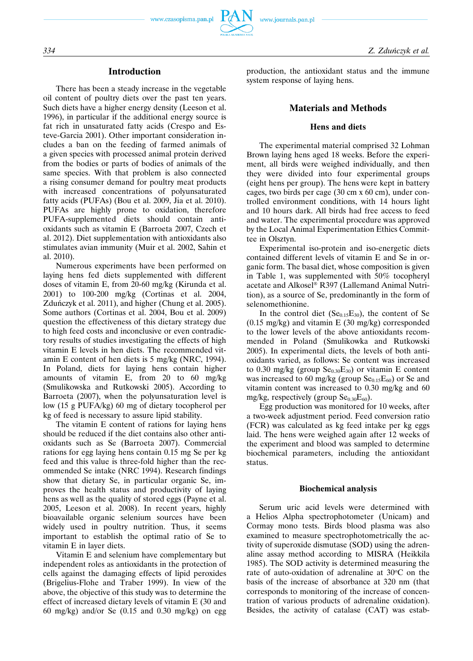# **Introduction**

There has been a steady increase in the vegetable oil content of poultry diets over the past ten years. Such diets have a higher energy density (Leeson et al. 1996), in particular if the additional energy source is fat rich in unsaturated fatty acids (Crespo and Esteve-Garcia 2001). Other important consideration includes a ban on the feeding of farmed animals of a given species with processed animal protein derived from the bodies or parts of bodies of animals of the same species. With that problem is also connected a rising consumer demand for poultry meat products with increased concentrations of polyunsaturated fatty acids (PUFAs) (Bou et al. 2009, Jia et al. 2010). PUFAs are highly prone to oxidation, therefore PUFA-supplemented diets should contain antioxidants such as vitamin E (Barroeta 2007, Czech et al. 2012). Diet supplementation with antioxidants also stimulates avian immunity (Muir et al. 2002, Sahin et al. 2010).

Numerous experiments have been performed on laying hens fed diets supplemented with different doses of vitamin E, from 20-60 mg/kg (Kirunda et al. 2001) to 100-200 mg/kg (Cortinas et al. 2004, Zduńczyk et al. 2011), and higher (Chung et al. 2005). Some authors (Cortinas et al. 2004, Bou et al. 2009) question the effectiveness of this dietary strategy due to high feed costs and inconclusive or even contradictory results of studies investigating the effects of high vitamin E levels in hen diets. The recommended vitamin E content of hen diets is 5 mg/kg (NRC, 1994). In Poland, diets for laying hens contain higher amounts of vitamin E, from 20 to 60 mg/kg (Smulikowska and Rutkowski 2005). According to Barroeta (2007), when the polyunsaturation level is low (15 g PUFA/kg) 60 mg of dietary tocopherol per kg of feed is necessary to assure lipid stability.

The vitamin E content of rations for laying hens should be reduced if the diet contains also other antioxidants such as Se (Barroeta 2007). Commercial rations for egg laying hens contain 0.15 mg Se per kg feed and this value is three-fold higher than the recommended Se intake (NRC 1994). Research findings show that dietary Se, in particular organic Se, improves the health status and productivity of laying hens as well as the quality of stored eggs (Payne et al. 2005, Leeson et al. 2008). In recent years, highly bioavailable organic selenium sources have been widely used in poultry nutrition. Thus, it seems important to establish the optimal ratio of Se to vitamin E in layer diets.

Vitamin E and selenium have complementary but independent roles as antioxidants in the protection of cells against the damaging effects of lipid peroxides (Brigelius-Flohe and Traber 1999). In view of the above, the objective of this study was to determine the effect of increased dietary levels of vitamin E (30 and 60 mg/kg) and/or Se (0.15 and 0.30 mg/kg) on egg production, the antioxidant status and the immune system response of laying hens.

# **Materials and Methods**

#### **Hens and diets**

The experimental material comprised 32 Lohman Brown laying hens aged 18 weeks. Before the experiment, all birds were weighed individually, and then they were divided into four experimental groups (eight hens per group). The hens were kept in battery cages, two birds per cage (30 cm x 60 cm), under controlled environment conditions, with 14 hours light and 10 hours dark. All birds had free access to feed and water. The experimental procedure was approved by the Local Animal Experimentation Ethics Committee in Olsztyn.

Experimental iso-protein and iso-energetic diets contained different levels of vitamin E and Se in organic form. The basal diet, whose composition is given in Table 1, was supplemented with 50% tocopheryl acetate and Alkosel® R397 (Lallemand Animal Nutrition), as a source of Se, predominantly in the form of selenomethionine.

In the control diet  $(Se<sub>0.15</sub>E<sub>30</sub>)$ , the content of Se (0.15 mg/kg) and vitamin E (30 mg/kg) corresponded to the lower levels of the above antioxidants recommended in Poland (Smulikowka and Rutkowski 2005). In experimental diets, the levels of both antioxidants varied, as follows: Se content was increased to 0.30 mg/kg (group  $\text{Se}_{0,30}E_{30}$ ) or vitamin E content was increased to 60 mg/kg (group  $Se<sub>0.15</sub>E<sub>60</sub>$ ) or Se and vitamin content was increased to 0.30 mg/kg and 60 mg/kg, respectively (group  $\text{Se}_{0,30}E_{60}$ ).

Egg production was monitored for 10 weeks, after a two-week adjustment period. Feed conversion ratio (FCR) was calculated as kg feed intake per kg eggs laid. The hens were weighed again after 12 weeks of the experiment and blood was sampled to determine biochemical parameters, including the antioxidant status.

#### **Biochemical analysis**

Serum uric acid levels were determined with a Helios Alpha spectrophotometer (Unicam) and Cormay mono tests. Birds blood plasma was also examined to measure spectrophotometrically the activity of superoxide dismutase (SOD) using the adrenaline assay method according to MISRA (Heikkila 1985). The SOD activity is determined measuring the rate of auto-oxidation of adrenaline at 30°C on the basis of the increase of absorbance at 320 nm (that corresponds to monitoring of the increase of concentration of various products of adrenaline oxidation). Besides, the activity of catalase (CAT) was estab-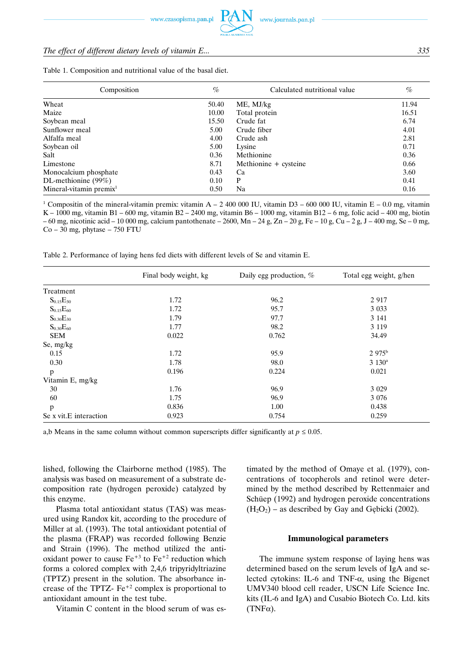# *The effect of different dietary levels of vitamin E... 335*

| Calculated nutritional value  | $\%$  |
|-------------------------------|-------|
| 50.40<br>$ME$ , $MJ/kg$       | 11.94 |
| 10.00<br>Total protein        | 16.51 |
| 15.50<br>Crude fat            | 6.74  |
| 5.00<br>Crude fiber           | 4.01  |
| 4.00<br>Crude ash             | 2.81  |
| 5.00<br>Lysine                | 0.71  |
| 0.36<br>Methionine            | 0.36  |
| 8.71<br>Methionine + cysteine | 0.66  |
| 0.43<br>Ca                    | 3.60  |
| 0.10<br>P                     | 0.41  |
| Na<br>0.50                    | 0.16  |
|                               |       |

Table 1. Composition and nutritional value of the basal diet.

<sup>1</sup> Compositin of the mineral-vitamin premix: vitamin A – 2 400 000 IU, vitamin D3 – 600 000 IU, vitamin E – 0.0 mg, vitamin K – 1000 mg, vitamin B1 – 600 mg, vitamin B2 – 2400 mg, vitamin B6 – 1000 mg, vitamin B12 – 6 mg, folic acid – 400 mg, biotin  $-60$  mg, nicotinic acid  $-10000$  mg, calcium pantothenate  $-2600$ , Mn  $-24$  g, Zn  $-20$  g, Fe  $-10$  g, Cu  $-2$  g, J  $-400$  mg, Se  $-0$  mg,  $Co - 30$  mg, phytase  $- 750$  FTU

Table 2. Performance of laying hens fed diets with different levels of Se and vitamin E.

|                        | Final body weight, kg | Daily egg production, % | Total egg weight, g/hen |
|------------------------|-----------------------|-------------------------|-------------------------|
| Treatment              |                       |                         |                         |
| $S_{0.15}E_{30}$       | 1.72                  | 96.2                    | 2 9 1 7                 |
| $S_{0.15}E_{60}$       | 1.72                  | 95.7                    | 3 0 3 3                 |
| $S_{0.30}E_{30}$       | 1.79                  | 97.7                    | 3 1 4 1                 |
| $S_{0.30}E_{60}$       | 1.77                  | 98.2                    | 3 1 1 9                 |
| <b>SEM</b>             | 0.022                 | 0.762                   | 34.49                   |
| Se, mg/kg              |                       |                         |                         |
| 0.15                   | 1.72                  | 95.9                    | 2.975 <sup>b</sup>      |
| 0.30                   | 1.78                  | 98.0                    | $3\ 130^{\rm a}$        |
| p                      | 0.196                 | 0.224                   | 0.021                   |
| Vitamin E, mg/kg       |                       |                         |                         |
| 30                     | 1.76                  | 96.9                    | 3 0 29                  |
| 60                     | 1.75                  | 96.9                    | 3 0 7 6                 |
| p                      | 0.836                 | 1.00                    | 0.438                   |
| Se x vit.E interaction | 0.923                 | 0.754                   | 0.259                   |

a,b Means in the same column without common superscripts differ significantly at  $p \le 0.05$ .

lished, following the Clairborne method (1985). The analysis was based on measurement of a substrate decomposition rate (hydrogen peroxide) catalyzed by this enzyme.

Plasma total antioxidant status (TAS) was measured using Randox kit, according to the procedure of Miller at al. (1993). The total antioxidant potential of the plasma (FRAP) was recorded following Benzie and Strain (1996). The method utilized the antioxidant power to cause  $Fe^{+3}$  to  $Fe^{+2}$  reduction which forms a colored complex with 2,4,6 tripyridyltriazine (TPTZ) present in the solution. The absorbance increase of the TPTZ- $Fe^{+2}$  complex is proportional to antioxidant amount in the test tube.

Vitamin C content in the blood serum of was es-

timated by the method of Omaye et al. (1979), concentrations of tocopherols and retinol were determined by the method described by Rettenmaier and Schüep (1992) and hydrogen peroxide concentrations  $(H<sub>2</sub>O<sub>2</sub>)$  – as described by Gay and Gebicki (2002).

#### **Immunological parameters**

The immune system response of laying hens was determined based on the serum levels of IgA and selected cytokins: IL-6 and TNF- $\alpha$ , using the Bigenet UMV340 blood cell reader, USCN Life Science Inc. kits (IL-6 and IgA) and Cusabio Biotech Co. Ltd. kits  $(TNF\alpha)$ .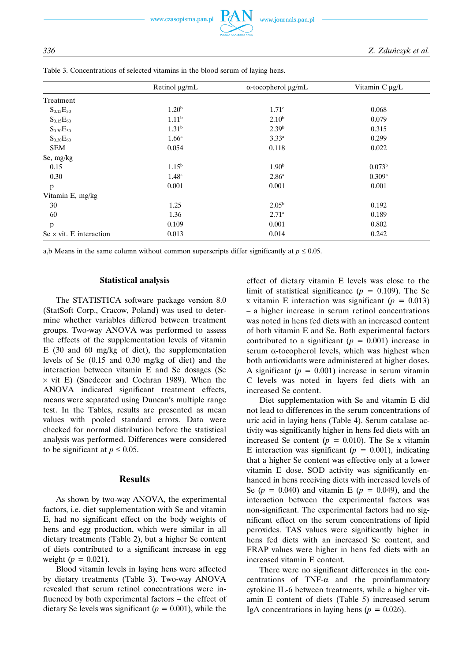www.czasopisma.pan.pl



|                                        | Retinol µg/mL     | $\alpha$ -tocopherol $\mu$ g/mL | Vitamin $C \mu g/L$ |
|----------------------------------------|-------------------|---------------------------------|---------------------|
| Treatment                              |                   |                                 |                     |
| $S_{0.15}E_{30}$                       | 1.20 <sup>b</sup> | 1.71 <sup>c</sup>               | 0.068               |
| $S_{0.15}E_{60}$                       | 1.11 <sup>b</sup> | $2.10^{b}$                      | 0.079               |
| $S_{0.30}E_{30}$                       | 1.31 <sup>b</sup> | 2.39 <sup>b</sup>               | 0.315               |
| $S_{0.30}E_{60}$                       | 1.66 <sup>a</sup> | $3.33^{a}$                      | 0.299               |
| <b>SEM</b>                             | 0.054             | 0.118                           | 0.022               |
| Se, mg/kg                              |                   |                                 |                     |
| 0.15                                   | $1.15^{\rm b}$    | 1.90 <sup>b</sup>               | $0.073^{\rm b}$     |
| 0.30                                   | $1.48^{\rm a}$    | 2.86 <sup>a</sup>               | 0.309a              |
| p                                      | 0.001             | 0.001                           | 0.001               |
| Vitamin E, mg/kg                       |                   |                                 |                     |
| 30                                     | 1.25              | 2.05 <sup>b</sup>               | 0.192               |
| 60                                     | 1.36              | $2.71^{\circ}$                  | 0.189               |
| p                                      | 0.109             | 0.001                           | 0.802               |
| $Se \times \text{vit}$ . E interaction | 0.013             | 0.014                           | 0.242               |

Table 3. Concentrations of selected vitamins in the blood serum of laying hens.

a,b Means in the same column without common superscripts differ significantly at  $p \le 0.05$ .

#### **Statistical analysis**

The STATISTICA software package version 8.0 (StatSoft Corp., Cracow, Poland) was used to determine whether variables differed between treatment groups. Two-way ANOVA was performed to assess the effects of the supplementation levels of vitamin E (30 and 60 mg/kg of diet), the supplementation levels of Se (0.15 and 0.30 mg/kg of diet) and the interaction between vitamin E and Se dosages (Se  $\times$  vit E) (Snedecor and Cochran 1989). When the ANOVA indicated significant treatment effects, means were separated using Duncan's multiple range test. In the Tables, results are presented as mean values with pooled standard errors. Data were checked for normal distribution before the statistical analysis was performed. Differences were considered to be significant at  $p \le 0.05$ .

# **Results**

As shown by two-way ANOVA, the experimental factors, i.e. diet supplementation with Se and vitamin E, had no significant effect on the body weights of hens and egg production, which were similar in all dietary treatments (Table 2), but a higher Se content of diets contributed to a significant increase in egg weight ( $p = 0.021$ ).

Blood vitamin levels in laying hens were affected by dietary treatments (Table 3). Two-way ANOVA revealed that serum retinol concentrations were influenced by both experimental factors – the effect of dietary Se levels was significant ( $p = 0.001$ ), while the effect of dietary vitamin E levels was close to the limit of statistical significance  $(p = 0.109)$ . The Se x vitamin E interaction was significant ( $p = 0.013$ ) – a higher increase in serum retinol concentrations was noted in hens fed diets with an increased content of both vitamin E and Se. Both experimental factors contributed to a significant  $(p = 0.001)$  increase in serum  $\alpha$ -tocopherol levels, which was highest when both antioxidants were administered at higher doses. A significant  $(p = 0.001)$  increase in serum vitamin C levels was noted in layers fed diets with an increased Se content.

Diet supplementation with Se and vitamin E did not lead to differences in the serum concentrations of uric acid in laying hens (Table 4). Serum catalase activity was significantly higher in hens fed diets with an increased Se content ( $p = 0.010$ ). The Se x vitamin E interaction was significant ( $p = 0.001$ ), indicating that a higher Se content was effective only at a lower vitamin E dose. SOD activity was significantly enhanced in hens receiving diets with increased levels of Se  $(p = 0.040)$  and vitamin E  $(p = 0.049)$ , and the interaction between the experimental factors was non-significant. The experimental factors had no significant effect on the serum concentrations of lipid peroxides. TAS values were significantly higher in hens fed diets with an increased Se content, and FRAP values were higher in hens fed diets with an increased vitamin E content.

There were no significant differences in the concentrations of TNF- $\alpha$  and the proinflammatory cytokine IL-6 between treatments, while a higher vitamin E content of diets (Table 5) increased serum IgA concentrations in laying hens  $(p = 0.026)$ .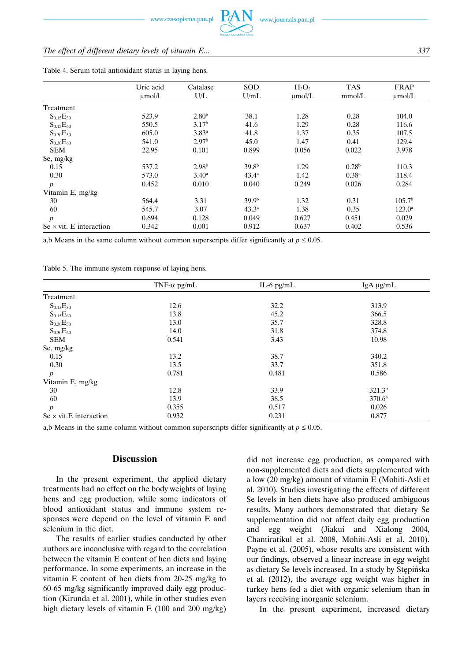# *The effect of different dietary levels of vitamin E... 337*

|                                        | Uric acid   | Catalase          | <b>SOD</b>        | $H_2O_2$    | <b>TAS</b>        | <b>FRAP</b>        |
|----------------------------------------|-------------|-------------------|-------------------|-------------|-------------------|--------------------|
|                                        | $\mu$ mol/l | U/L               | U/mL              | $\mu$ mol/L | mmol/L            | $\mu$ mol/L        |
| Treatment                              |             |                   |                   |             |                   |                    |
| $S_{0.15}E_{30}$                       | 523.9       | 2.80 <sup>b</sup> | 38.1              | 1.28        | 0.28              | 104.0              |
| $S_{0.15}E_{60}$                       | 550.5       | 3.17 <sup>b</sup> | 41.6              | 1.29        | 0.28              | 116.6              |
| $S_{0.30}E_{30}$                       | 605.0       | $3.83^{a}$        | 41.8              | 1.37        | 0.35              | 107.5              |
| $S_{0.30}E_{60}$                       | 541.0       | 2.97 <sup>b</sup> | 45.0              | 1.47        | 0.41              | 129.4              |
| <b>SEM</b>                             | 22.95       | 0.101             | 0.899             | 0.056       | 0.022             | 3.978              |
| Se, mg/kg                              |             |                   |                   |             |                   |                    |
| 0.15                                   | 537.2       | 2.98 <sup>b</sup> | 39.8 <sup>b</sup> | 1.29        | 0.28 <sup>b</sup> | 110.3              |
| 0.30                                   | 573.0       | $3.40^{\rm a}$    | $43.4^{\circ}$    | 1.42        | $0.38^{a}$        | 118.4              |
| $\boldsymbol{p}$                       | 0.452       | 0.010             | 0.040             | 0.249       | 0.026             | 0.284              |
| Vitamin E, mg/kg                       |             |                   |                   |             |                   |                    |
| 30                                     | 564.4       | 3.31              | 39.9 <sup>b</sup> | 1.32        | 0.31              | 105.7 <sup>b</sup> |
| 60                                     | 545.7       | 3.07              | $43.3^{\circ}$    | 1.38        | 0.35              | $123.0^{\rm a}$    |
| $\boldsymbol{p}$                       | 0.694       | 0.128             | 0.049             | 0.627       | 0.451             | 0.029              |
| $Se \times \text{vit}$ . E interaction | 0.342       | 0.001             | 0.912             | 0.637       | 0.402             | 0.536              |

Table 4. Serum total antioxidant status in laying hens.

a,b Means in the same column without common superscripts differ significantly at  $p \le 0.05$ .

Table 5. The immune system response of laying hens.

|                                        | TNF- $\alpha$ pg/mL | IL-6 $pg/mL$ | IgA µg/mL       |
|----------------------------------------|---------------------|--------------|-----------------|
| Treatment                              |                     |              |                 |
| $S_{0.15}E_{30}$                       | 12.6                | 32.2         | 313.9           |
| $S_{0.15}E_{60}$                       | 13.8                | 45.2         | 366.5           |
| $S_{0.30}E_{30}$                       | 13.0                | 35.7         | 328.8           |
| $S_{0.30}E_{60}$                       | 14.0                | 31.8         | 374.8           |
| <b>SEM</b>                             | 0.541               | 3.43         | 10.98           |
| Se, mg/kg                              |                     |              |                 |
| 0.15                                   | 13.2                | 38.7         | 340.2           |
| 0.30                                   | 13.5                | 33.7         | 351.8           |
| $\boldsymbol{p}$                       | 0.781               | 0.481        | 0.586           |
| Vitamin E, mg/kg                       |                     |              |                 |
| 30                                     | 12.8                | 33.9         | $321.3^{b}$     |
| 60                                     | 13.9                | 38.5         | $370.6^{\circ}$ |
| $\boldsymbol{p}$                       | 0.355               | 0.517        | 0.026           |
| $Se \times \text{vit}$ . E interaction | 0.932               | 0.231        | 0.877           |

a,b Means in the same column without common superscripts differ significantly at  $p \le 0.05$ .

# **Discussion**

In the present experiment, the applied dietary treatments had no effect on the body weights of laying hens and egg production, while some indicators of blood antioxidant status and immune system responses were depend on the level of vitamin E and selenium in the diet.

The results of earlier studies conducted by other authors are inconclusive with regard to the correlation between the vitamin E content of hen diets and laying performance. In some experiments, an increase in the vitamin E content of hen diets from 20-25 mg/kg to 60-65 mg/kg significantly improved daily egg production (Kirunda et al. 2001), while in other studies even high dietary levels of vitamin E (100 and 200 mg/kg)

did not increase egg production, as compared with non-supplemented diets and diets supplemented with a low (20 mg/kg) amount of vitamin E (Mohiti-Asli et al. 2010). Studies investigating the effects of different Se levels in hen diets have also produced ambiguous results. Many authors demonstrated that dietary Se supplementation did not affect daily egg production and egg weight (Jiakui and Xialong 2004, Chantiratikul et al. 2008, Mohiti-Asli et al. 2010). Payne et al. (2005), whose results are consistent with our findings, observed a linear increase in egg weight as dietary Se levels increased. In a study by Stępińska et al. (2012), the average egg weight was higher in turkey hens fed a diet with organic selenium than in layers receiving inorganic selenium.

In the present experiment, increased dietary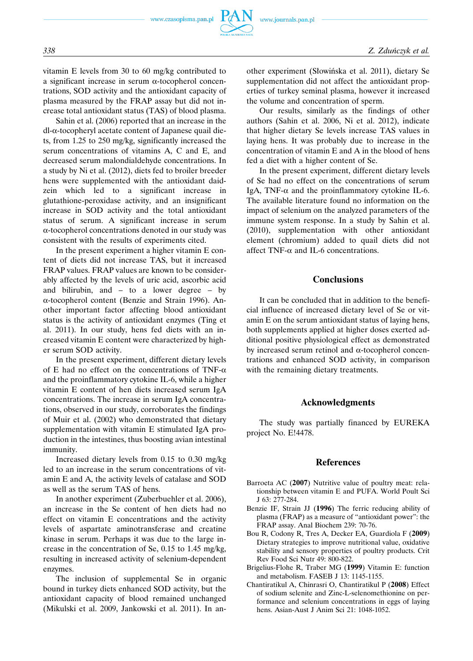vitamin E levels from 30 to 60 mg/kg contributed to a significant increase in serum α-tocopherol concentrations, SOD activity and the antioxidant capacity of plasma measured by the FRAP assay but did not increase total antioxidant status (TAS) of blood plasma.

Sahin et al. (2006) reported that an increase in the dl-α-tocopheryl acetate content of Japanese quail diets, from 1.25 to 250 mg/kg, significantly increased the serum concentrations of vitamins A, C and E, and decreased serum malondialdehyde concentrations. In a study by Ni et al. (2012), diets fed to broiler breeder hens were supplemented with the antioxidant daidzein which led to a significant increase in glutathione-peroxidase activity, and an insignificant increase in SOD activity and the total antioxidant status of serum. A significant increase in serum α-tocopherol concentrations denoted in our study was consistent with the results of experiments cited.

In the present experiment a higher vitamin E content of diets did not increase TAS, but it increased FRAP values. FRAP values are known to be considerably affected by the levels of uric acid, ascorbic acid and bilirubin, and – to a lower degree – by α-tocopherol content (Benzie and Strain 1996). Another important factor affecting blood antioxidant status is the activity of antioxidant enzymes (Ting et al. 2011). In our study, hens fed diets with an increased vitamin E content were characterized by higher serum SOD activity.

In the present experiment, different dietary levels of E had no effect on the concentrations of TNF- $\alpha$ and the proinflammatory cytokine IL-6, while a higher vitamin E content of hen diets increased serum IgA concentrations. The increase in serum IgA concentrations, observed in our study, corroborates the findings of Muir et al. (2002) who demonstrated that dietary supplementation with vitamin E stimulated IgA production in the intestines, thus boosting avian intestinal immunity.

Increased dietary levels from 0.15 to 0.30 mg/kg led to an increase in the serum concentrations of vitamin E and A, the activity levels of catalase and SOD as well as the serum TAS of hens.

In another experiment (Zuberbuehler et al. 2006), an increase in the Se content of hen diets had no effect on vitamin E concentrations and the activity levels of aspartate aminotransferase and creatine kinase in serum. Perhaps it was due to the large increase in the concentration of Se, 0.15 to 1.45 mg/kg, resulting in increased activity of selenium-dependent enzymes.

The inclusion of supplemental Se in organic bound in turkey diets enhanced SOD activity, but the antioxidant capacity of blood remained unchanged (Mikulski et al. 2009, Jankowski et al. 2011). In another experiment (Słowińska et al. 2011), dietary Se supplementation did not affect the antioxidant properties of turkey seminal plasma, however it increased the volume and concentration of sperm.

Our results, similarly as the findings of other authors (Sahin et al. 2006, Ni et al. 2012), indicate that higher dietary Se levels increase TAS values in laying hens. It was probably due to increase in the concentration of vitamin E and A in the blood of hens fed a diet with a higher content of Se.

In the present experiment, different dietary levels of Se had no effect on the concentrations of serum IgA, TNF- $\alpha$  and the proinflammatory cytokine IL-6. The available literature found no information on the impact of selenium on the analyzed parameters of the immune system response. In a study by Sahin et al. (2010), supplementation with other antioxidant element (chromium) added to quail diets did not affect TNF- $\alpha$  and IL-6 concentrations.

# **Conclusions**

It can be concluded that in addition to the beneficial influence of increased dietary level of Se or vitamin E on the serum antioxidant status of laying hens, both supplements applied at higher doses exerted additional positive physiological effect as demonstrated by increased serum retinol and α-tocopherol concentrations and enhanced SOD activity, in comparison with the remaining dietary treatments.

## **Acknowledgments**

The study was partially financed by EUREKA project No. E!4478.

# **References**

- Barroeta AC (**2007**) Nutritive value of poultry meat: relationship between vitamin E and PUFA. World Poult Sci J 63: 277-284.
- Benzie IF, Strain JJ (**1996**) The ferric reducing ability of plasma (FRAP) as a measure of "antioxidant power": the FRAP assay. Anal Biochem 239: 70-76.
- Bou R, Codony R, Tres A, Decker EA, Guardiola F (**2009**) Dietary strategies to improve nutritional value, oxidative stability and sensory properties of poultry products. Crit Rev Food Sci Nutr 49: 800-822.
- Brigelius-Flohe R, Traber MG (**1999**) Vitamin E: function and metabolism. FASEB J 13: 1145-1155.
- Chantiratikul A, Chinrasri O, Chantiratikul P (**2008**) Effect of sodium selenite and Zinc-L-selenomethionine on performance and selenium concentrations in eggs of laying hens. Asian-Aust J Anim Sci 21: 1048-1052.